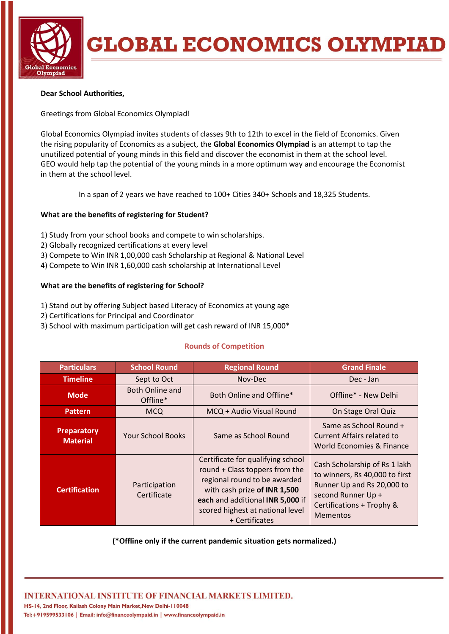

## **GLOBAL ECONOMICS OLYMPIAI**

### **Dear School Authorities,**

### Greetings from Global Economics Olympiad!

Global Economics Olympiad invites students of classes 9th to 12th to excel in the field of Economics. Given the rising popularity of Economics as a subject, the **Global Economics Olympiad** is an attempt to tap the unutilized potential of young minds in this field and discover the economist in them at the school level. GEO would help tap the potential of the young minds in a more optimum way and encourage the Economist in them at the school level.

In a span of 2 years we have reached to 100+ Cities 340+ Schools and 18,325 Students.

### **What are the benefits of registering for Student?**

- 1) Study from your school books and compete to win scholarships.
- 2) Globally recognized certifications at every level
- 3) Compete to Win INR 1,00,000 cash Scholarship at Regional & National Level
- 4) Compete to Win INR 1,60,000 cash scholarship at International Level

### **What are the benefits of registering for School?**

- 1) Stand out by offering Subject based Literacy of Economics at young age
- 2) Certifications for Principal and Coordinator
- 3) School with maximum participation will get cash reward of INR 15,000\*

### **Rounds of Competition**

| <b>Particulars</b>                    | <b>School Round</b>                | <b>Regional Round</b>                                                                                                                                                                                                         | <b>Grand Finale</b>                                                                                                                                                 |
|---------------------------------------|------------------------------------|-------------------------------------------------------------------------------------------------------------------------------------------------------------------------------------------------------------------------------|---------------------------------------------------------------------------------------------------------------------------------------------------------------------|
| <b>Timeline</b>                       | Sept to Oct                        | Nov-Dec                                                                                                                                                                                                                       | Dec - Jan                                                                                                                                                           |
| <b>Mode</b>                           | <b>Both Online and</b><br>Offline* | Both Online and Offline*                                                                                                                                                                                                      | Offline* - New Delhi                                                                                                                                                |
| <b>Pattern</b>                        | <b>MCQ</b>                         | MCQ + Audio Visual Round                                                                                                                                                                                                      | On Stage Oral Quiz                                                                                                                                                  |
| <b>Preparatory</b><br><b>Material</b> | <b>Your School Books</b>           | Same as School Round                                                                                                                                                                                                          | Same as School Round +<br>Current Affairs related to<br>World Economies & Finance                                                                                   |
| <b>Certification</b>                  | Participation<br>Certificate       | Certificate for qualifying school<br>round + Class toppers from the<br>regional round to be awarded<br>with cash prize of INR 1,500<br>each and additional INR 5,000 if<br>scored highest at national level<br>+ Certificates | Cash Scholarship of Rs 1 lakh<br>to winners, Rs 40,000 to first<br>Runner Up and Rs 20,000 to<br>second Runner Up +<br>Certifications + Trophy &<br><b>Mementos</b> |

**(\*Offline only if the current pandemic situation gets normalized.)**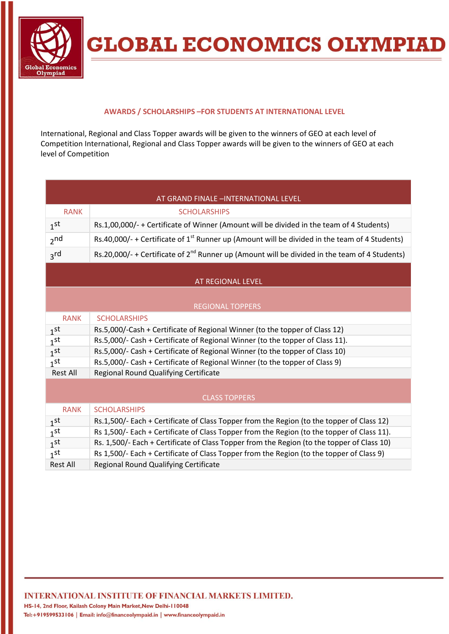

# **GLOBAL ECONOMICS OLYMPIAD**

### **AWARDS / SCHOLARSHIPS –FOR STUDENTS AT INTERNATIONAL LEVEL**

International, Regional and Class Topper awards will be given to the winners of GEO at each level of Competition International, Regional and Class Topper awards will be given to the winners of GEO at each level of Competition

| AT GRAND FINALE -INTERNATIONAL LEVEL |                                                                                                    |  |  |
|--------------------------------------|----------------------------------------------------------------------------------------------------|--|--|
| <b>RANK</b>                          | <b>SCHOLARSHIPS</b>                                                                                |  |  |
| 1 <sub>st</sub>                      | Rs.1,00,000/- + Certificate of Winner (Amount will be divided in the team of 4 Students)           |  |  |
| 2 <sub>nd</sub>                      | Rs.40,000/- + Certificate of $1^{st}$ Runner up (Amount will be divided in the team of 4 Students) |  |  |
| 3rd                                  | Rs.20,000/- + Certificate of $2^{nd}$ Runner up (Amount will be divided in the team of 4 Students) |  |  |
|                                      |                                                                                                    |  |  |
| AT REGIONAL LEVEL                    |                                                                                                    |  |  |
|                                      |                                                                                                    |  |  |
| <b>REGIONAL TOPPERS</b>              |                                                                                                    |  |  |
| <b>RANK</b>                          | <b>SCHOLARSHIPS</b>                                                                                |  |  |
| 1 <sub>st</sub>                      | Rs.5,000/-Cash + Certificate of Regional Winner (to the topper of Class 12)                        |  |  |
| 1 <sub>st</sub>                      | Rs.5,000/- Cash + Certificate of Regional Winner (to the topper of Class 11).                      |  |  |
| 1st                                  | Rs.5,000/- Cash + Certificate of Regional Winner (to the topper of Class 10)                       |  |  |
| 1 <sub>st</sub>                      | Rs.5,000/- Cash + Certificate of Regional Winner (to the topper of Class 9)                        |  |  |
| <b>Rest All</b>                      | Regional Round Qualifying Certificate                                                              |  |  |
|                                      |                                                                                                    |  |  |
| <b>CLASS TOPPERS</b>                 |                                                                                                    |  |  |
| <b>RANK</b>                          | <b>SCHOLARSHIPS</b>                                                                                |  |  |
| 1 <sub>st</sub>                      | Rs.1,500/- Each + Certificate of Class Topper from the Region (to the topper of Class 12)          |  |  |
| 1st                                  | Rs 1,500/- Each + Certificate of Class Topper from the Region (to the topper of Class 11).         |  |  |
| 1 <sub>st</sub>                      | Rs. 1,500/- Each + Certificate of Class Topper from the Region (to the topper of Class 10)         |  |  |
| 1 <sub>st</sub>                      | Rs 1,500/- Each + Certificate of Class Topper from the Region (to the topper of Class 9)           |  |  |
| <b>Rest All</b>                      | Regional Round Qualifying Certificate                                                              |  |  |